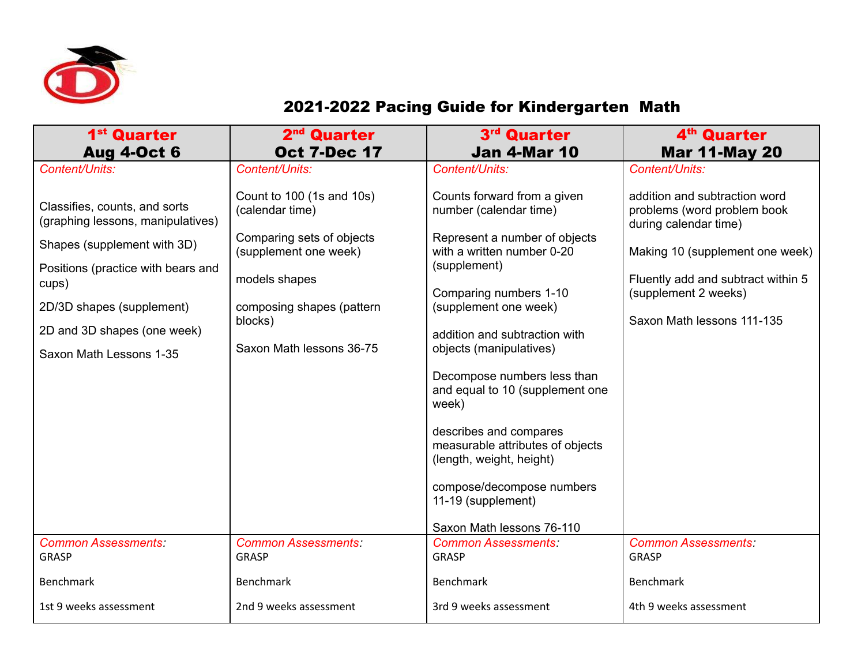

## 2021-2022 Pacing Guide for Kindergarten Math

| 1 <sup>st</sup> Quarter<br><b>Aug 4-Oct 6</b>                                                                                                                                                                                           | 2 <sup>nd</sup> Quarter<br><b>Oct 7-Dec 17</b>                                                                                                                                          | 3rd Quarter<br><b>Jan 4-Mar 10</b>                                                                                                                                                                                                                                                                                                                                                                                       | 4 <sup>th</sup> Quarter<br><b>Mar 11-May 20</b>                                                                                                                                                                      |
|-----------------------------------------------------------------------------------------------------------------------------------------------------------------------------------------------------------------------------------------|-----------------------------------------------------------------------------------------------------------------------------------------------------------------------------------------|--------------------------------------------------------------------------------------------------------------------------------------------------------------------------------------------------------------------------------------------------------------------------------------------------------------------------------------------------------------------------------------------------------------------------|----------------------------------------------------------------------------------------------------------------------------------------------------------------------------------------------------------------------|
| Content/Units:                                                                                                                                                                                                                          | Content/Units:                                                                                                                                                                          | Content/Units:                                                                                                                                                                                                                                                                                                                                                                                                           | Content/Units:                                                                                                                                                                                                       |
| Classifies, counts, and sorts<br>(graphing lessons, manipulatives)<br>Shapes (supplement with 3D)<br>Positions (practice with bears and<br>cups)<br>2D/3D shapes (supplement)<br>2D and 3D shapes (one week)<br>Saxon Math Lessons 1-35 | Count to 100 (1s and 10s)<br>(calendar time)<br>Comparing sets of objects<br>(supplement one week)<br>models shapes<br>composing shapes (pattern<br>blocks)<br>Saxon Math lessons 36-75 | Counts forward from a given<br>number (calendar time)<br>Represent a number of objects<br>with a written number 0-20<br>(supplement)<br>Comparing numbers 1-10<br>(supplement one week)<br>addition and subtraction with<br>objects (manipulatives)<br>Decompose numbers less than<br>and equal to 10 (supplement one<br>week)<br>describes and compares<br>measurable attributes of objects<br>(length, weight, height) | addition and subtraction word<br>problems (word problem book<br>during calendar time)<br>Making 10 (supplement one week)<br>Fluently add and subtract within 5<br>(supplement 2 weeks)<br>Saxon Math lessons 111-135 |
|                                                                                                                                                                                                                                         |                                                                                                                                                                                         | compose/decompose numbers<br>11-19 (supplement)<br>Saxon Math lessons 76-110                                                                                                                                                                                                                                                                                                                                             |                                                                                                                                                                                                                      |
| <b>Common Assessments:</b><br><b>GRASP</b>                                                                                                                                                                                              | <b>Common Assessments:</b><br><b>GRASP</b>                                                                                                                                              | <b>Common Assessments:</b><br><b>GRASP</b>                                                                                                                                                                                                                                                                                                                                                                               | <b>Common Assessments:</b><br><b>GRASP</b>                                                                                                                                                                           |
| <b>Benchmark</b>                                                                                                                                                                                                                        | <b>Benchmark</b>                                                                                                                                                                        | Benchmark                                                                                                                                                                                                                                                                                                                                                                                                                | <b>Benchmark</b>                                                                                                                                                                                                     |
| 1st 9 weeks assessment                                                                                                                                                                                                                  | 2nd 9 weeks assessment                                                                                                                                                                  | 3rd 9 weeks assessment                                                                                                                                                                                                                                                                                                                                                                                                   | 4th 9 weeks assessment                                                                                                                                                                                               |